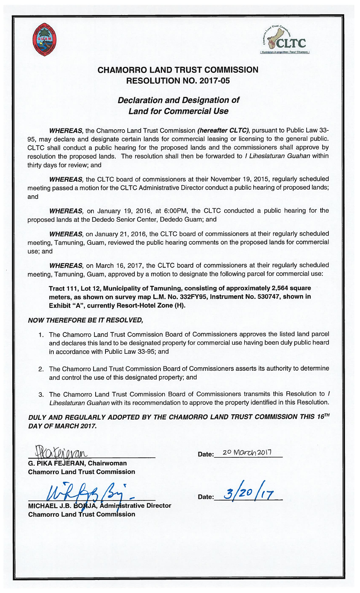



## CHAMORRO LAND TRUST COMMISSION RESOLUTION NO. 2017-05

## Declaration and Designation of Land for Commercial Use

WHEREAS, the Chamorro Land Trust Commission (hereafter CLTC), pursuant to Public Law 33-95, may declare and designate certain lands for commercial leasing or licensing to the general public. CLTC shall conduct a public hearing for the proposed lands and the commissioners shall approve by resolution the proposed lands. The resolution shall then be forwarded to *I Liheslaturan Guahan* within thirty days for review; and

WHEREAS, the CLTC board of commissioners at their November 19, 2015, regularly scheduled meeting passed a motion for the CLTC Administrative Director conduct a public hearing of proposed lands; and

WHEREAS, on January 19, 2016, at 6:00PM, the CLTC conducted a public hearing for the proposed lands at the Dededo Senior Center, Dededo Guam; and

WHEREAS, on January 21, 2016, the CLTC board of commissioners at their regularly scheduled meeting, Tamuning, Guam, reviewed the public hearing comments on the proposed lands for commercial use; and

WHEREAS, on March 16, 2017, the CLTC board of commissioners at their regularly scheduled meeting, Tamuning, Guam, approved by a motion to designate the following parcel for commercial use:

Tract 117, Lot 12, Municipality of Tamuning, consisting of approximately 2,564 square meters, as shown on survey map L.M. No. 332FY95, Instrument No. 530747, shown in Exhibit "A", currently Resort-Hotel Zone (H).

## NOW THEREFORE BE IT RESOLVED,

- 1. The Chamorro Land Trust Commission Board of Commissioners approves the listed land parcel and declares this land to be designated property for commercial use having been duly public heard in accordance with Public Law 33-95; and
- 2. The Chamorro Land Trust Commission Board of Commissioners asserts its authority to determine and control the use of this designated property; and
- 3. The Chamorro Land Trust Commission Board of Commissioners transmits this Resolution to <sup>I</sup> Liheslaturan Guahan with its recommendation to approve the property identified in this Resolution.

DULY AND REGULARLY ADOPTED BY THE CHAMORRO LAND TRUST COMMISSION THIS 16TH DAY OF MARCH 2017.

ate: 2° March 2017

G. PIKA FEJERAN, Chairwoman Chamorro Land Trust Commission

MICHAEL J.B. BORJA, Administrative Director Chamorro Land Trust Commission

Date:  $3/20/17$